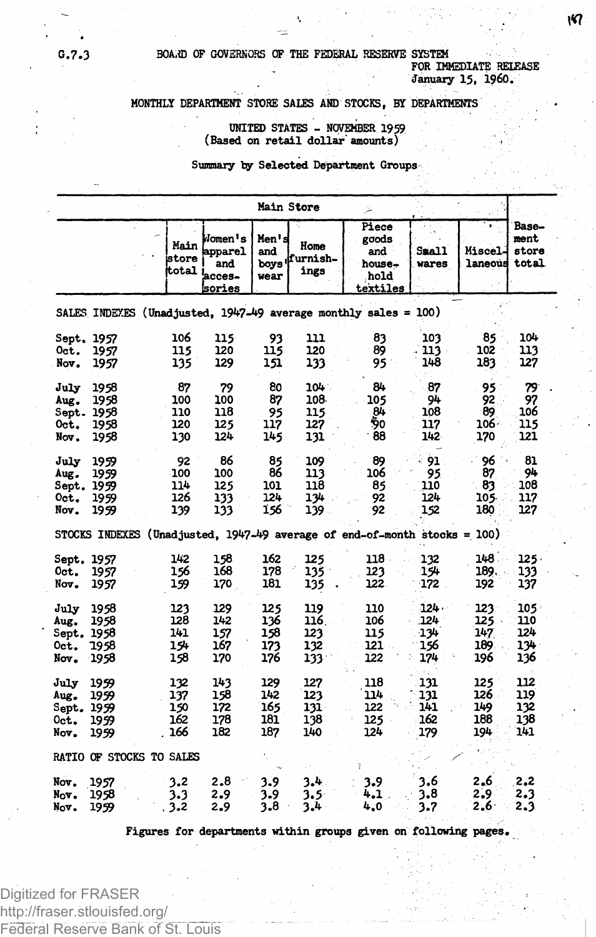# **G.7.3 BOAiiD OF GOVERNORS OF THE FEDERAL RESERVE SYSTEM FOR IMMEDIATE RELEASE**

**January 15, I960.**

## **MONTHLY DEPARTMENT STORE SALES AND STOCKS, BY DEPARTMENTS**

## **UNITED STATES - NOVEMBER 1959 (Based on retail dollar amounts) .**

**Summary by Selected Department Groups**

**Figures for departments within groups given on following pages.**

Digitized for FRASER http://fraser.stlouisfed.org/ Federal Reserve Bank of St. Louis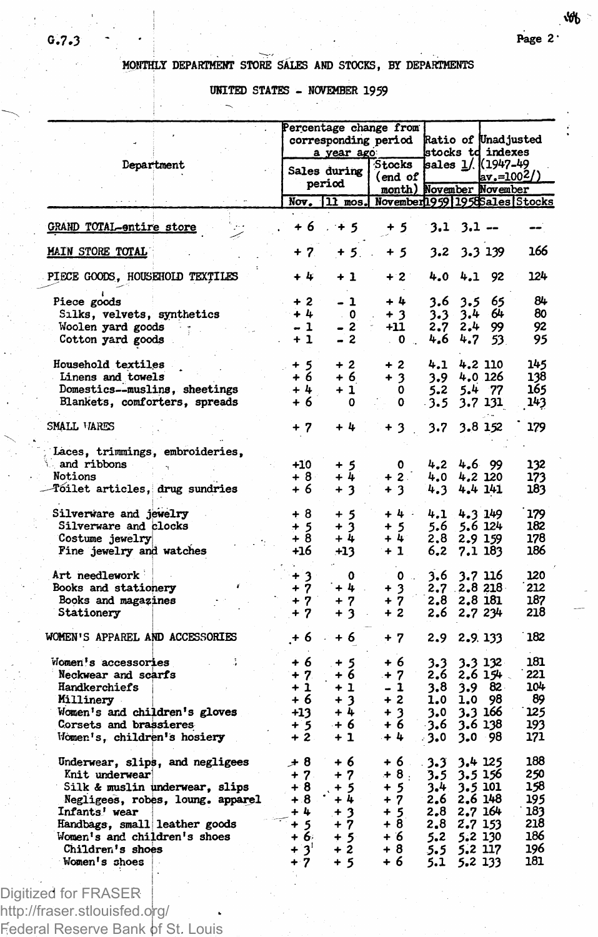₩

# **MONTHLY DEPARTMENT STORE SALES AND STOCKS, BY DEPARTMENTS**

**UNITED STATES - NOVEMBER 1959**

|                                  | Percentage change from |                          |                                |       |                     |                     |     |
|----------------------------------|------------------------|--------------------------|--------------------------------|-------|---------------------|---------------------|-----|
|                                  | corresponding period   |                          |                                |       |                     | Ratio of Unadjusted |     |
|                                  |                        | a year ago               |                                |       | stocks td indexes   |                     |     |
| Department                       |                        |                          | Stocks                         |       | sales 1/. ((1947–49 |                     |     |
|                                  |                        | Sales during             | (end of                        |       |                     | av.=100?/           |     |
|                                  |                        | period                   | month) November November       |       |                     |                     |     |
|                                  |                        | Nov. 11 mos.             | November1959 1958 Sales Stocks |       |                     |                     |     |
|                                  |                        |                          |                                |       |                     |                     |     |
| <b>GRAND TOTAL-entire store</b>  | $+6$                   | $+5$                     | + 5                            |       | $3.1$ $3.1$ $-$     |                     |     |
| <b>MAIN STORE TOTAL</b>          | + 7                    | $+5$                     | + 5                            | 3.2   | 3.3 139             |                     | 166 |
| PIECE GOODS, HOUSEHOLD TEXTILES  | + 4                    | $+1$                     | $+2$                           | 4.0   | 4.1                 | 92                  | 124 |
| Piece goods                      | + 2                    | - 1                      | $+4$                           | 3.6   | 3.5                 | 65                  | 84  |
| Silks, velvets, synthetics       | $+4$                   | $\overline{\phantom{a}}$ | $+3$                           | 3.3   | 3.4 64              |                     | 80  |
| Woolen yard goods                | $-1$                   |                          | +11                            | 2.7   | 2.4                 | 99                  | 92  |
|                                  | $+1$                   | $-2$                     |                                |       |                     |                     |     |
| Cotton yard goods                |                        | $-2$                     | $\sim$ 0 $\sim$                | 4,6   | 4.7                 | 53.                 | 95  |
| Household textiles               | $^{+5}_{+6}$           | $+2$                     | $+2$                           | 4.1   | 4.2 110             |                     | 145 |
| Linens and towels                |                        | $+6$                     | $+3$                           | 3.9   | 4.0 126             |                     | 138 |
| Domestics--muslins, sheetings    | $+4$                   | + 1                      | 0                              | 5.2   | 5.4 77              |                     | 165 |
| Blankets, comforters, spreads    | + 6                    | 0                        | 0                              | - 3.5 | 3.7 131             |                     | 143 |
| SMALL VARES                      | $+7$                   | +4                       | $+3$                           | 3.7   | 3.8 152             |                     | 179 |
| Laces, trimmings, embroideries,  |                        |                          |                                |       |                     |                     |     |
| and ribbons                      | $+10$                  | 5<br>÷                   | 0                              | 4.2   | 4.6 99              |                     | 132 |
| Notions                          | $+8$                   | 4<br>÷                   | $+2$                           | 4.0   | 4.2 120             |                     | 173 |
|                                  |                        |                          |                                |       |                     |                     |     |
| Tóilet articles, drug sundries   | + 6                    | $\ddot{}$<br>3           | $+3$                           | 4.3   | 4.4 141             |                     | 183 |
| Silverware and jewelry           | + 8                    | + 5                      | $+4.$                          | 4.1   | 4.3 149             |                     | 179 |
| Silverware and clocks            | + 5                    | 3<br>$\ddot{}$           | $+5$                           | 5.6   | 5.6 124             |                     | 182 |
| Costume jewelry                  | $+8$                   | $+4$                     | $+4$                           | 2,8   | 2.9 159             |                     | 178 |
| Fine jewelry and watches         | +16                    | $+13$                    | $+1$                           | 6.2   | 7.1 183             |                     | 186 |
|                                  |                        |                          |                                |       |                     |                     |     |
| Art needlework                   | + 3                    | ٥                        | $\mathbf{0}$ .                 | 3.6   | 3.7 116             |                     | 120 |
| Books and stationery             | 7<br>$\ddot{}$         | + 4                      | $+3$                           | 2.7   | .2.8 218            |                     | 212 |
| Books and magazines              | $+7$                   | 7<br>+                   | $+7$                           | 2.8   | 2.8 181             |                     | 187 |
| Stationery                       | $+7$                   | $\ddotmark$<br>3         | $+2$                           | 2.6   | 2.7 234             |                     | 218 |
| WOMEN'S APPAREL AND ACCESSORIES  | .+ 6                   | + 6                      | $+7$                           | 2.9   | 2.9.133             |                     | 182 |
|                                  |                        |                          |                                |       |                     |                     |     |
| Women's accessories              | + 6                    | $+5$                     | + 6                            | 3.3   | 3.3 132             |                     | 181 |
| Neckwear and scarfs              | $+7$                   | + 6                      | $+7$                           | 2.6   | 2.6 154             |                     | 221 |
| Handkerchiefs                    | $+1$                   | + 1                      | - 1                            | 3.8   | 3.9                 | 82.                 | 104 |
| Millinery                        | + 6                    | $+3$                     | $+2$                           | 1,0   | 1.0                 | 98                  | 89  |
| Women's and children's gloves    | $+13$                  | $+4$                     | $+3$                           | 3.0   | 3.3 166             |                     | 125 |
| Corsets and brassieres           | + 5                    | + 6                      | + 6                            | -3.6  | 3.6 138             |                     | 193 |
| Women's, children's hosiery      | $+2$                   | $+1$                     | $+4$                           | - 3.0 | 3.0                 | - 98                | 171 |
| Underwear, slips, and negligees  | $+8$                   | + 6                      | +6.                            | 3.3   | 3.4 125             |                     | 188 |
|                                  | $+7$                   |                          | $+8$ .                         |       |                     |                     | 250 |
| Knit underwear                   |                        | + 7                      |                                | 3.5   | 3.5 156             |                     |     |
| Silk & muslin underwear, slips   | + 8                    | $+5$                     | + 5                            | 3.4   | 3.5 101             |                     | 158 |
| Negligees, robes, loung. apparel | $+.8$                  | $+4$                     | $+7$                           | 2.6   | 2.6 148             |                     | 195 |
| Infants' wear                    | + 4                    | $+3$                     | + 5                            | 2,8   | 2.7 164             |                     | 183 |
| Handbags, small leather goods    | $15 + 5$               | $+7$                     | $+8$                           | 2.8   | 2.7 153             |                     | 218 |
| Women's and children's shoes     |                        | $+5$                     | + 6                            | 5.2   | 5.2 130             |                     | 186 |
| Children's shoes                 | $+3'$                  | $+2$                     | + 8                            | 5.5   | 5.2 117             |                     | 196 |
| Women's shoes                    | $+7$                   | $+5$                     | + 6                            | 5.1   | 5.2 133             |                     | 181 |
|                                  |                        |                          |                                |       |                     |                     |     |

Digitized for FRASER http://fraser.stlouisfed.org/ Federal Reserve Bank of St. Louis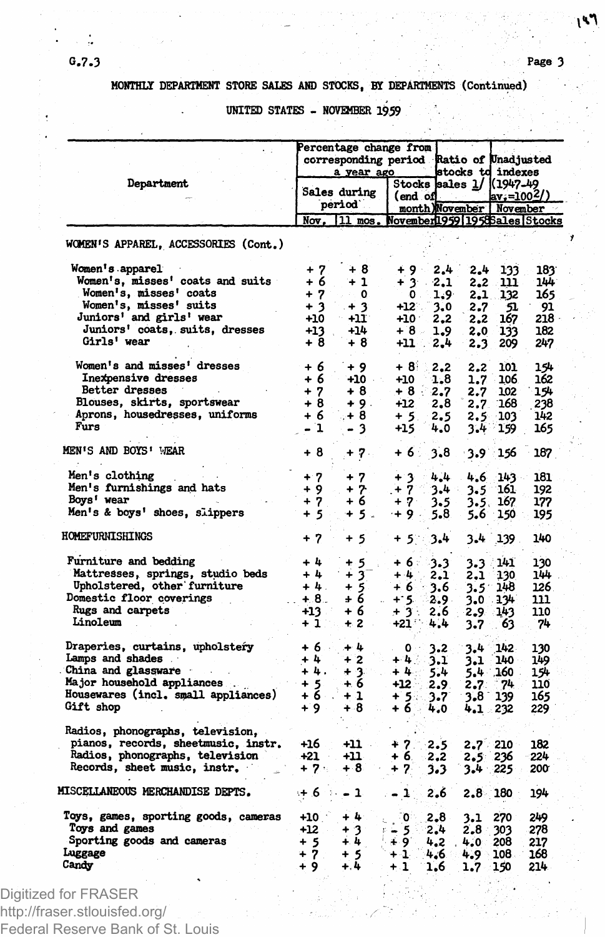# **HONTHLT DEPARTMENT STORE SALES AND STOCKS, BY DEPARTMENTS (Continued)**

**UNITED STATES - NOVEMBER 1959**

| Department                                                        |                                       | Percentage change from:<br>corresponding period Ratio of Unadjusted |                                             |            |               | stocks td indexes                                                    |            |
|-------------------------------------------------------------------|---------------------------------------|---------------------------------------------------------------------|---------------------------------------------|------------|---------------|----------------------------------------------------------------------|------------|
|                                                                   | a year ago<br>Sales during<br>period` |                                                                     | (end of                                     |            |               | Stocks sales 1/ (1947-49<br>$ av_i=1002/$<br>month)November November |            |
|                                                                   |                                       | $Now.$ $11$ mos.                                                    | <u> November 1959   1958 Sales   Stocks</u> |            |               |                                                                      |            |
| WOMEN'S APPAREL, ACCESSORIES (Cont.)                              |                                       |                                                                     |                                             |            |               |                                                                      |            |
| Women's apparel                                                   | $+7$                                  | + 8                                                                 | ∔ 9 ⊹                                       | 2,4        | 2.4           | 133                                                                  | 183        |
| <b>Women's, misses' coats and suits</b>                           | + 6                                   | $+1$                                                                | + 3 -                                       | 2,1        | 2,2           | m                                                                    | 144        |
| Women's, misses' coats                                            | $+7$                                  | 0<br>$\mathcal{L}_{\rm{eff}}$                                       | $\mathbf 0$ .                               | 1,9        | 2.1           | 132                                                                  | 165        |
| Women's, misses' suits                                            | $+3$                                  | $+3$                                                                | $+12$ .                                     | 3.0        | 2.7           | 51                                                                   | 91         |
| Juniors' and girls' wear                                          | $+10$                                 | - +11                                                               | $+10$                                       | 2,2        | 2.2           | 167                                                                  | 218        |
| Juniors' coats, suits, dresses                                    | $+13$                                 | +14                                                                 | +8 -                                        | 1.9        | 2,0           | 133                                                                  | 182        |
| Girls' wear                                                       | +8                                    | +8                                                                  | +11                                         | 2.4        | 2.3           | 209                                                                  | 247        |
| Women's and misses' dresses                                       |                                       |                                                                     |                                             |            |               |                                                                      |            |
|                                                                   | $+6$                                  | $+9$                                                                | $+8$                                        | 2,2        | 2.2           | 101                                                                  | 154        |
| Inexpensive dresses<br>Better dresses                             | + 6                                   | $+10$                                                               | $+10$                                       | 1.8        | 1.7           | 106                                                                  | 162        |
| Blouses, skirts, sportswear                                       | $+7$<br>$+8$                          | +8                                                                  | +8 -                                        | 2,7        | 2.7           | 102                                                                  | 154        |
| Aprons, housedresses, uniforms                                    | $+6$                                  | $+9.$<br>$+8$                                                       | $+12$                                       | 2,8        | 2.7.          | 168                                                                  | 238        |
| Furs                                                              | - 1                                   |                                                                     | $+5.$                                       | 2,5        |               | 2.5 103                                                              | 142        |
|                                                                   |                                       | - 3                                                                 | +15                                         | 4.0        | 3.4           | 159                                                                  | 165        |
| MEN'S AND BOYS' WEAR                                              | + 8                                   | $+7.$                                                               | + 6 ∶                                       | 3.8        |               | $-3.9 - 156$                                                         | 187.       |
| Men's clothing                                                    | $+7$                                  | $+7$                                                                | $+3$                                        | 4.4        | 4.6           | $143 -$                                                              | 181        |
| Men's furnishings and hats                                        | + 9                                   | $+7$                                                                | $+7$                                        | 3.4        | 3.5           | 161                                                                  | 192        |
| Boys' wear                                                        | $+7$                                  | + 6                                                                 | $+7$                                        | 3.5        | 3.5.          | 167                                                                  | 177        |
| Men's & boys' shoes, slippers                                     | $+5$                                  | +5.                                                                 | $+9.$                                       | 5.8        | 5.6           | 150                                                                  | 195        |
| HOMEFURNISHINGS                                                   | $+7$                                  | + 5                                                                 | $+5\%$                                      | 3.4        | 3.4           | 139                                                                  | 140        |
|                                                                   |                                       |                                                                     |                                             |            |               |                                                                      |            |
| Furniture and bedding                                             | $+4$                                  | $+5$                                                                | +6⊹                                         | -3.3       |               | 3.3 141                                                              | 130        |
| Mattresses, springs, studio beds                                  | $+4$                                  | $+3$                                                                | $+4$                                        | 2.1        | 2.1           | 130                                                                  | 144        |
| Upholstered, other furniture                                      | $+4.$                                 |                                                                     | + 6                                         | $3.6$ .    | $3.5^{\circ}$ | 14B                                                                  | 126        |
| Domestic floor coverings                                          | $ + 8.$                               | $\frac{+5}{+6}$                                                     | - +: 5∴∵                                    | $2.9 -$    |               | 3.0 134                                                              | 111        |
| Rugs and carpets                                                  | +13                                   | +6                                                                  | $+3.5$                                      | 2.6        |               | 2.9 143                                                              | 110        |
| Linoleum                                                          | $+1$                                  | $+2$                                                                | $+21$                                       | 4,4        | 3.7           | 63                                                                   | 74         |
|                                                                   |                                       |                                                                     |                                             |            |               |                                                                      |            |
| Draperies, curtains, upholstery                                   | $+6.$                                 | $+4$                                                                | - 0                                         | 3.2        | 3.4           | $\langle 142 \rangle$                                                | 130        |
| Lamps and shades                                                  | $+4$                                  | $+2$                                                                | +4∹                                         | 3.1        | 3.1           | 140.                                                                 | 149        |
| China and glassware                                               | +4.                                   | + 3.                                                                | +4∴                                         | 5.4        |               | 5.4 160                                                              | 154        |
| Major household appliances<br>Housewares (incl. small appliances) | $+5$<br>$+6$ $+1$                     | + 6                                                                 | $+12$                                       | 2.9        | 2.7           | - 74                                                                 | 110        |
| Gift shop                                                         | $+9$                                  | $+8$                                                                | + 54.<br>+6∵                                | 3.7        | $3.8 -$       | 139                                                                  | 165        |
|                                                                   |                                       |                                                                     |                                             | 4.0        |               | 4.1 232                                                              | 229        |
| Radios, phonographs, television,                                  |                                       |                                                                     |                                             |            |               |                                                                      |            |
| pianos, records, sheetmusic, instr.                               | +16                                   | +11 -                                                               | $+7.$                                       | $-2.5$     |               | $2.7 - 210$                                                          | 182        |
| Radios, phonographs, television                                   | +21 -                                 | +11                                                                 | + 6.                                        | 2,2        | 2.5 236       |                                                                      | 224        |
| Records, sheet music, instr.                                      | $+ 7.4$                               | +⊹8∶                                                                | $+ 7.$                                      | 3.3        | $3.4$ 225     |                                                                      | 200        |
| <b>MISCELLANEOUS MERCHANDISE DEPTS.</b>                           | $+6 - -1$                             |                                                                     | 7 – 11                                      | 2.6        |               | $2.8 \t180$                                                          | 194        |
|                                                                   |                                       |                                                                     |                                             |            |               |                                                                      |            |
| Toys, games, sporting goods, cameras                              | $+10$                                 | $+4$                                                                | ு<br>C.                                     | 2.8        | 3.1           | 270                                                                  | 249        |
| Toys and games                                                    | $+12$                                 | $+3$                                                                | ⊭≟ 5 ಿ                                      | 2.4        | 2.8           | 303                                                                  | 278        |
| Sporting goods and cameras                                        | $+5$                                  | $+ 4$                                                               | ⊕ 9″                                        | 4.2        | 4.0           | 208                                                                  | 217        |
|                                                                   |                                       |                                                                     |                                             |            |               |                                                                      |            |
| Luggage<br>Candy                                                  | $+7.$<br>+ 9                          | $+5$<br>$+, 4$                                                      | 41<br>$+1$                                  | 4.6<br>1,6 | 4.9<br>1.7    | 108<br>150                                                           | 168<br>214 |

Digitized for FRASER http://fraser.stlouisfed.org/ Federal Reserve Bank of St. Louis